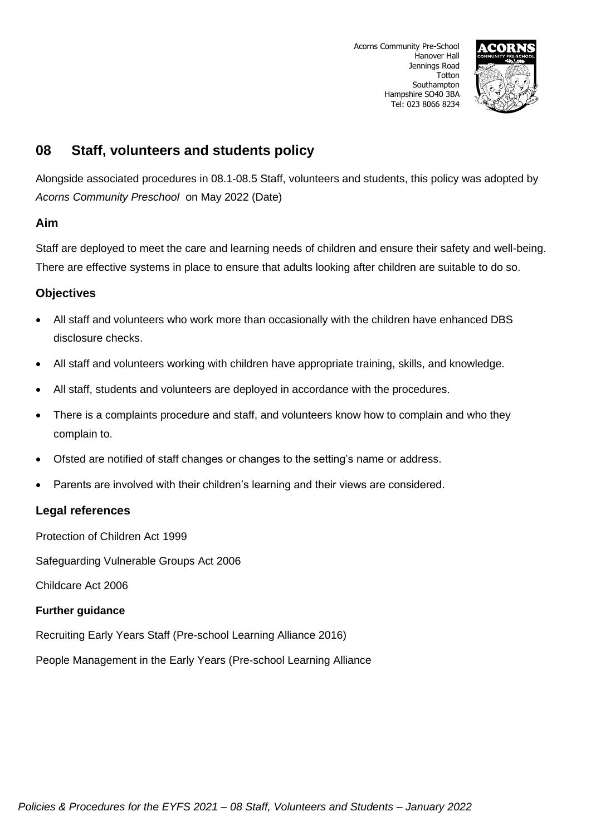

# **08 Staff, volunteers and students policy**

Alongside associated procedures in 08.1-08.5 Staff, volunteers and students, this policy was adopted by *Acorns Community Preschool* on May 2022 (Date)

### **Aim**

Staff are deployed to meet the care and learning needs of children and ensure their safety and well-being. There are effective systems in place to ensure that adults looking after children are suitable to do so.

### **Objectives**

- All staff and volunteers who work more than occasionally with the children have enhanced DBS disclosure checks.
- All staff and volunteers working with children have appropriate training, skills, and knowledge.
- All staff, students and volunteers are deployed in accordance with the procedures.
- There is a complaints procedure and staff, and volunteers know how to complain and who they complain to.
- Ofsted are notified of staff changes or changes to the setting's name or address.
- Parents are involved with their children's learning and their views are considered.

### **Legal references**

Protection of Children Act 1999

Safeguarding Vulnerable Groups Act 2006

Childcare Act 2006

#### **Further guidance**

Recruiting Early Years Staff (Pre-school Learning Alliance 2016)

People Management in the Early Years (Pre-school Learning Alliance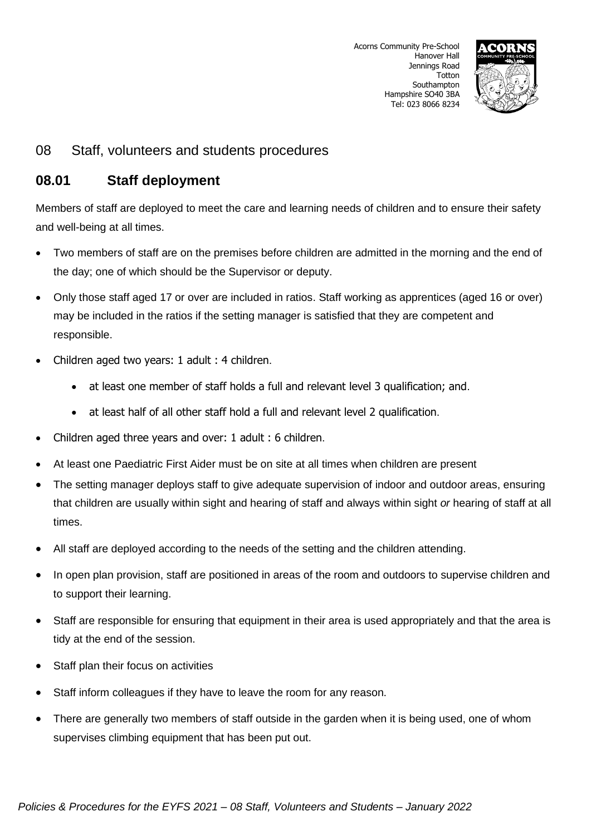

## **08.01 Staff deployment**

Members of staff are deployed to meet the care and learning needs of children and to ensure their safety and well-being at all times.

- Two members of staff are on the premises before children are admitted in the morning and the end of the day; one of which should be the Supervisor or deputy.
- Only those staff aged 17 or over are included in ratios. Staff working as apprentices (aged 16 or over) may be included in the ratios if the setting manager is satisfied that they are competent and responsible.
- Children aged two years: 1 adult : 4 children.
	- at least one member of staff holds a full and relevant level 3 qualification; and.
	- at least half of all other staff hold a full and relevant level 2 qualification.
- Children aged three years and over: 1 adult : 6 children.
- At least one Paediatric First Aider must be on site at all times when children are present
- The setting manager deploys staff to give adequate supervision of indoor and outdoor areas, ensuring that children are usually within sight and hearing of staff and always within sight *or* hearing of staff at all times.
- All staff are deployed according to the needs of the setting and the children attending.
- In open plan provision, staff are positioned in areas of the room and outdoors to supervise children and to support their learning.
- Staff are responsible for ensuring that equipment in their area is used appropriately and that the area is tidy at the end of the session.
- Staff plan their focus on activities
- Staff inform colleagues if they have to leave the room for any reason.
- There are generally two members of staff outside in the garden when it is being used, one of whom supervises climbing equipment that has been put out.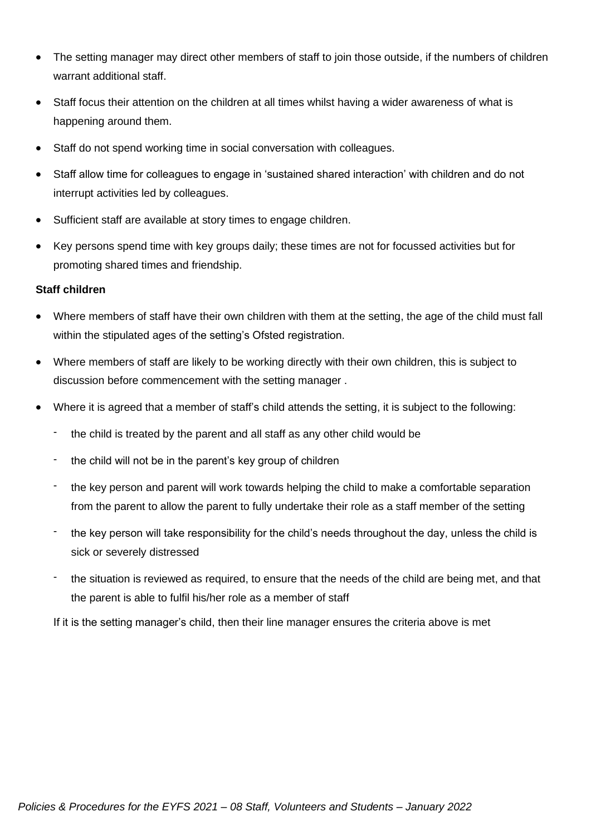- The setting manager may direct other members of staff to join those outside, if the numbers of children warrant additional staff.
- Staff focus their attention on the children at all times whilst having a wider awareness of what is happening around them.
- Staff do not spend working time in social conversation with colleagues.
- Staff allow time for colleagues to engage in 'sustained shared interaction' with children and do not interrupt activities led by colleagues.
- Sufficient staff are available at story times to engage children.
- Key persons spend time with key groups daily; these times are not for focussed activities but for promoting shared times and friendship.

#### **Staff children**

- Where members of staff have their own children with them at the setting, the age of the child must fall within the stipulated ages of the setting's Ofsted registration.
- Where members of staff are likely to be working directly with their own children, this is subject to discussion before commencement with the setting manager .
- Where it is agreed that a member of staff's child attends the setting, it is subject to the following:
	- the child is treated by the parent and all staff as any other child would be
	- the child will not be in the parent's key group of children
	- the key person and parent will work towards helping the child to make a comfortable separation from the parent to allow the parent to fully undertake their role as a staff member of the setting
	- the key person will take responsibility for the child's needs throughout the day, unless the child is sick or severely distressed
	- the situation is reviewed as required, to ensure that the needs of the child are being met, and that the parent is able to fulfil his/her role as a member of staff

If it is the setting manager's child, then their line manager ensures the criteria above is met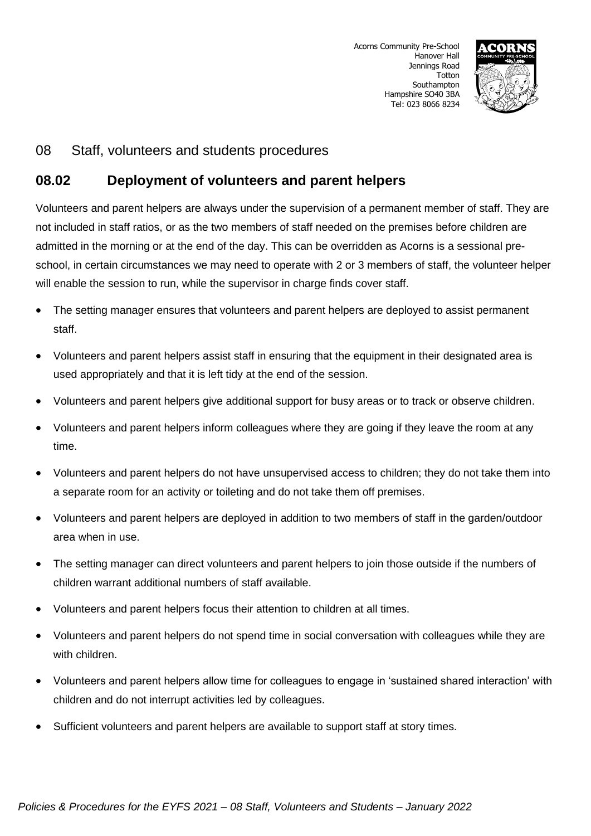

## **08.02 Deployment of volunteers and parent helpers**

Volunteers and parent helpers are always under the supervision of a permanent member of staff. They are not included in staff ratios, or as the two members of staff needed on the premises before children are admitted in the morning or at the end of the day. This can be overridden as Acorns is a sessional preschool, in certain circumstances we may need to operate with 2 or 3 members of staff, the volunteer helper will enable the session to run, while the supervisor in charge finds cover staff.

- The setting manager ensures that volunteers and parent helpers are deployed to assist permanent staff.
- Volunteers and parent helpers assist staff in ensuring that the equipment in their designated area is used appropriately and that it is left tidy at the end of the session.
- Volunteers and parent helpers give additional support for busy areas or to track or observe children.
- Volunteers and parent helpers inform colleagues where they are going if they leave the room at any time.
- Volunteers and parent helpers do not have unsupervised access to children; they do not take them into a separate room for an activity or toileting and do not take them off premises.
- Volunteers and parent helpers are deployed in addition to two members of staff in the garden/outdoor area when in use.
- The setting manager can direct volunteers and parent helpers to join those outside if the numbers of children warrant additional numbers of staff available.
- Volunteers and parent helpers focus their attention to children at all times.
- Volunteers and parent helpers do not spend time in social conversation with colleagues while they are with children.
- Volunteers and parent helpers allow time for colleagues to engage in 'sustained shared interaction' with children and do not interrupt activities led by colleagues.
- Sufficient volunteers and parent helpers are available to support staff at story times.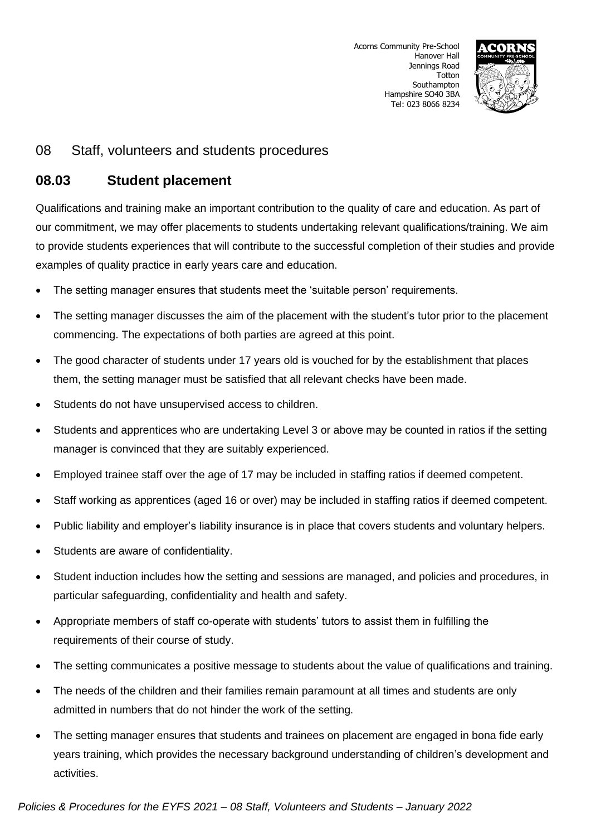

## **08.03 Student placement**

Qualifications and training make an important contribution to the quality of care and education. As part of our commitment, we may offer placements to students undertaking relevant qualifications/training. We aim to provide students experiences that will contribute to the successful completion of their studies and provide examples of quality practice in early years care and education.

- The setting manager ensures that students meet the 'suitable person' requirements.
- The setting manager discusses the aim of the placement with the student's tutor prior to the placement commencing. The expectations of both parties are agreed at this point.
- The good character of students under 17 years old is vouched for by the establishment that places them, the setting manager must be satisfied that all relevant checks have been made.
- Students do not have unsupervised access to children.
- Students and apprentices who are undertaking Level 3 or above may be counted in ratios if the setting manager is convinced that they are suitably experienced.
- Employed trainee staff over the age of 17 may be included in staffing ratios if deemed competent.
- Staff working as apprentices (aged 16 or over) may be included in staffing ratios if deemed competent.
- Public liability and employer's liability insurance is in place that covers students and voluntary helpers.
- Students are aware of confidentiality.
- Student induction includes how the setting and sessions are managed, and policies and procedures, in particular safeguarding, confidentiality and health and safety.
- Appropriate members of staff co-operate with students' tutors to assist them in fulfilling the requirements of their course of study.
- The setting communicates a positive message to students about the value of qualifications and training.
- The needs of the children and their families remain paramount at all times and students are only admitted in numbers that do not hinder the work of the setting.
- The setting manager ensures that students and trainees on placement are engaged in bona fide early years training, which provides the necessary background understanding of children's development and activities.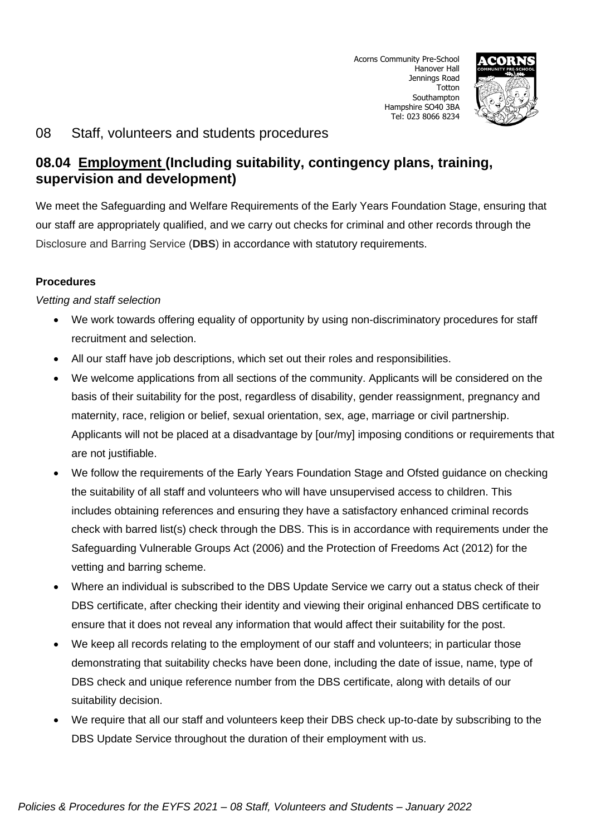

# **08.04 Employment (Including suitability, contingency plans, training, supervision and development)**

We meet the Safeguarding and Welfare Requirements of the Early Years Foundation Stage, ensuring that our staff are appropriately qualified, and we carry out checks for criminal and other records through the Disclosure and Barring Service (**DBS**) in accordance with statutory requirements.

#### **Procedures**

#### *Vetting and staff selection*

- We work towards offering equality of opportunity by using non-discriminatory procedures for staff recruitment and selection.
- All our staff have job descriptions, which set out their roles and responsibilities.
- We welcome applications from all sections of the community. Applicants will be considered on the basis of their suitability for the post, regardless of disability, gender reassignment, pregnancy and maternity, race, religion or belief, sexual orientation, sex, age, marriage or civil partnership. Applicants will not be placed at a disadvantage by [our/my] imposing conditions or requirements that are not justifiable.
- We follow the requirements of the Early Years Foundation Stage and Ofsted guidance on checking the suitability of all staff and volunteers who will have unsupervised access to children. This includes obtaining references and ensuring they have a satisfactory enhanced criminal records check with barred list(s) check through the DBS. This is in accordance with requirements under the Safeguarding Vulnerable Groups Act (2006) and the Protection of Freedoms Act (2012) for the vetting and barring scheme.
- Where an individual is subscribed to the DBS Update Service we carry out a status check of their DBS certificate, after checking their identity and viewing their original enhanced DBS certificate to ensure that it does not reveal any information that would affect their suitability for the post.
- We keep all records relating to the employment of our staff and volunteers; in particular those demonstrating that suitability checks have been done, including the date of issue, name, type of DBS check and unique reference number from the DBS certificate, along with details of our suitability decision.
- We require that all our staff and volunteers keep their DBS check up-to-date by subscribing to the DBS Update Service throughout the duration of their employment with us.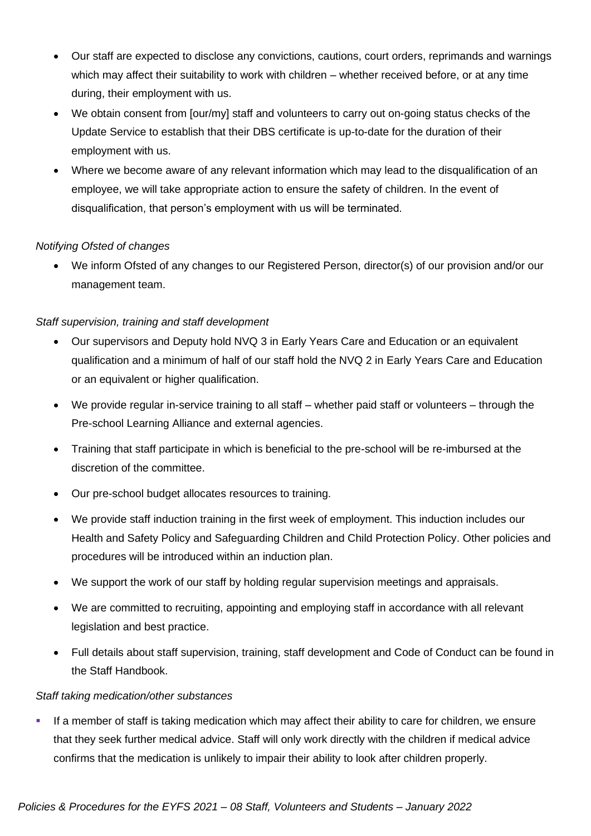- Our staff are expected to disclose any convictions, cautions, court orders, reprimands and warnings which may affect their suitability to work with children – whether received before, or at any time during, their employment with us.
- We obtain consent from [our/my] staff and volunteers to carry out on-going status checks of the Update Service to establish that their DBS certificate is up-to-date for the duration of their employment with us.
- Where we become aware of any relevant information which may lead to the disqualification of an employee, we will take appropriate action to ensure the safety of children. In the event of disqualification, that person's employment with us will be terminated.

#### *Notifying Ofsted of changes*

• We inform Ofsted of any changes to our Registered Person, director(s) of our provision and/or our management team.

#### *Staff supervision, training and staff development*

- Our supervisors and Deputy hold NVQ 3 in Early Years Care and Education or an equivalent qualification and a minimum of half of our staff hold the NVQ 2 in Early Years Care and Education or an equivalent or higher qualification.
- We provide regular in-service training to all staff whether paid staff or volunteers through the Pre-school Learning Alliance and external agencies.
- Training that staff participate in which is beneficial to the pre-school will be re-imbursed at the discretion of the committee.
- Our pre-school budget allocates resources to training.
- We provide staff induction training in the first week of employment. This induction includes our Health and Safety Policy and Safeguarding Children and Child Protection Policy. Other policies and procedures will be introduced within an induction plan.
- We support the work of our staff by holding regular supervision meetings and appraisals.
- We are committed to recruiting, appointing and employing staff in accordance with all relevant legislation and best practice.
- Full details about staff supervision, training, staff development and Code of Conduct can be found in the Staff Handbook.

#### *Staff taking medication/other substances*

If a member of staff is taking medication which may affect their ability to care for children, we ensure that they seek further medical advice. Staff will only work directly with the children if medical advice confirms that the medication is unlikely to impair their ability to look after children properly.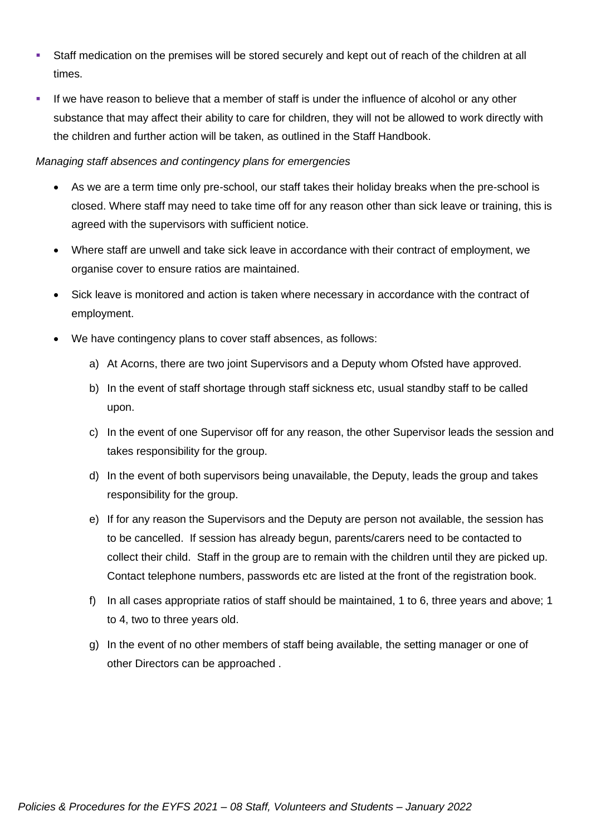- Staff medication on the premises will be stored securely and kept out of reach of the children at all times.
- If we have reason to believe that a member of staff is under the influence of alcohol or any other substance that may affect their ability to care for children, they will not be allowed to work directly with the children and further action will be taken, as outlined in the Staff Handbook.

#### *Managing staff absences and contingency plans for emergencies*

- As we are a term time only pre-school, our staff takes their holiday breaks when the pre-school is closed. Where staff may need to take time off for any reason other than sick leave or training, this is agreed with the supervisors with sufficient notice.
- Where staff are unwell and take sick leave in accordance with their contract of employment, we organise cover to ensure ratios are maintained.
- Sick leave is monitored and action is taken where necessary in accordance with the contract of employment.
- We have contingency plans to cover staff absences, as follows:
	- a) At Acorns, there are two joint Supervisors and a Deputy whom Ofsted have approved.
	- b) In the event of staff shortage through staff sickness etc, usual standby staff to be called upon.
	- c) In the event of one Supervisor off for any reason, the other Supervisor leads the session and takes responsibility for the group.
	- d) In the event of both supervisors being unavailable, the Deputy, leads the group and takes responsibility for the group.
	- e) If for any reason the Supervisors and the Deputy are person not available, the session has to be cancelled. If session has already begun, parents/carers need to be contacted to collect their child. Staff in the group are to remain with the children until they are picked up. Contact telephone numbers, passwords etc are listed at the front of the registration book.
	- f) In all cases appropriate ratios of staff should be maintained, 1 to 6, three years and above; 1 to 4, two to three years old.
	- g) In the event of no other members of staff being available, the setting manager or one of other Directors can be approached .